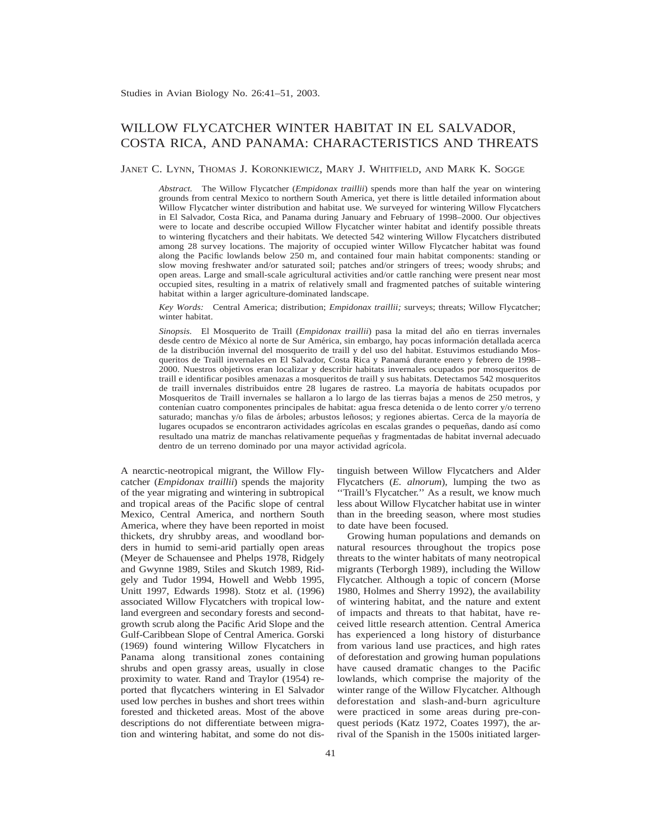# WILLOW FLYCATCHER WINTER HABITAT IN EL SALVADOR, COSTA RICA, AND PANAMA: CHARACTERISTICS AND THREATS

JANET C. LYNN, THOMAS J. KORONKIEWICZ, MARY J. WHITFIELD, AND MARK K. SOGGE

*Abstract.* The Willow Flycatcher (*Empidonax traillii*) spends more than half the year on wintering grounds from central Mexico to northern South America, yet there is little detailed information about Willow Flycatcher winter distribution and habitat use. We surveyed for wintering Willow Flycatchers in El Salvador, Costa Rica, and Panama during January and February of 1998–2000. Our objectives were to locate and describe occupied Willow Flycatcher winter habitat and identify possible threats to wintering flycatchers and their habitats. We detected 542 wintering Willow Flycatchers distributed among 28 survey locations. The majority of occupied winter Willow Flycatcher habitat was found along the Pacific lowlands below 250 m, and contained four main habitat components: standing or slow moving freshwater and/or saturated soil; patches and/or stringers of trees; woody shrubs; and open areas. Large and small-scale agricultural activities and/or cattle ranching were present near most occupied sites, resulting in a matrix of relatively small and fragmented patches of suitable wintering habitat within a larger agriculture-dominated landscape.

*Key Words:* Central America; distribution; *Empidonax traillii;* surveys; threats; Willow Flycatcher; winter habitat.

*Sinopsis.* El Mosquerito de Traill (*Empidonax traillii*) pasa la mitad del año en tierras invernales desde centro de México al norte de Sur América, sin embargo, hay pocas información detallada acerca de la distribución invernal del mosquerito de traill y del uso del habitat. Estuvimos estudiando Mosqueritos de Traill invernales en El Salvador, Costa Rica y Panama´ durante enero y febrero de 1998– 2000. Nuestros objetivos eran localizar y describir habitats invernales ocupados por mosqueritos de traill e identificar posibles amenazas a mosqueritos de traill y sus habitats. Detectamos 542 mosqueritos de traill invernales distribuidos entre 28 lugares de rastreo. La mayoría de habitats ocupados por Mosqueritos de Traill invernales se hallaron a lo largo de las tierras bajas a menos de 250 metros, y contenían cuatro componentes principales de habitat: agua fresca detenida o de lento correr y/o terreno saturado; manchas y/o filas de árboles; arbustos leñosos; y regiones abiertas. Cerca de la mayoría de lugares ocupados se encontraron actividades agrícolas en escalas grandes o pequeñas, dando así como resultado una matriz de manchas relativamente pequeñas y fragmentadas de habitat invernal adecuado dentro de un terreno dominado por una mayor actividad agrícola.

A nearctic-neotropical migrant, the Willow Flycatcher (*Empidonax traillii*) spends the majority of the year migrating and wintering in subtropical and tropical areas of the Pacific slope of central Mexico, Central America, and northern South America, where they have been reported in moist thickets, dry shrubby areas, and woodland borders in humid to semi-arid partially open areas (Meyer de Schauensee and Phelps 1978, Ridgely and Gwynne 1989, Stiles and Skutch 1989, Ridgely and Tudor 1994, Howell and Webb 1995, Unitt 1997, Edwards 1998). Stotz et al. (1996) associated Willow Flycatchers with tropical lowland evergreen and secondary forests and secondgrowth scrub along the Pacific Arid Slope and the Gulf-Caribbean Slope of Central America. Gorski (1969) found wintering Willow Flycatchers in Panama along transitional zones containing shrubs and open grassy areas, usually in close proximity to water. Rand and Traylor (1954) reported that flycatchers wintering in El Salvador used low perches in bushes and short trees within forested and thicketed areas. Most of the above descriptions do not differentiate between migration and wintering habitat, and some do not distinguish between Willow Flycatchers and Alder Flycatchers (*E. alnorum*), lumping the two as "Traill's Flycatcher." As a result, we know much less about Willow Flycatcher habitat use in winter than in the breeding season, where most studies to date have been focused.

Growing human populations and demands on natural resources throughout the tropics pose threats to the winter habitats of many neotropical migrants (Terborgh 1989), including the Willow Flycatcher. Although a topic of concern (Morse 1980, Holmes and Sherry 1992), the availability of wintering habitat, and the nature and extent of impacts and threats to that habitat, have received little research attention. Central America has experienced a long history of disturbance from various land use practices, and high rates of deforestation and growing human populations have caused dramatic changes to the Pacific lowlands, which comprise the majority of the winter range of the Willow Flycatcher. Although deforestation and slash-and-burn agriculture were practiced in some areas during pre-conquest periods (Katz 1972, Coates 1997), the arrival of the Spanish in the 1500s initiated larger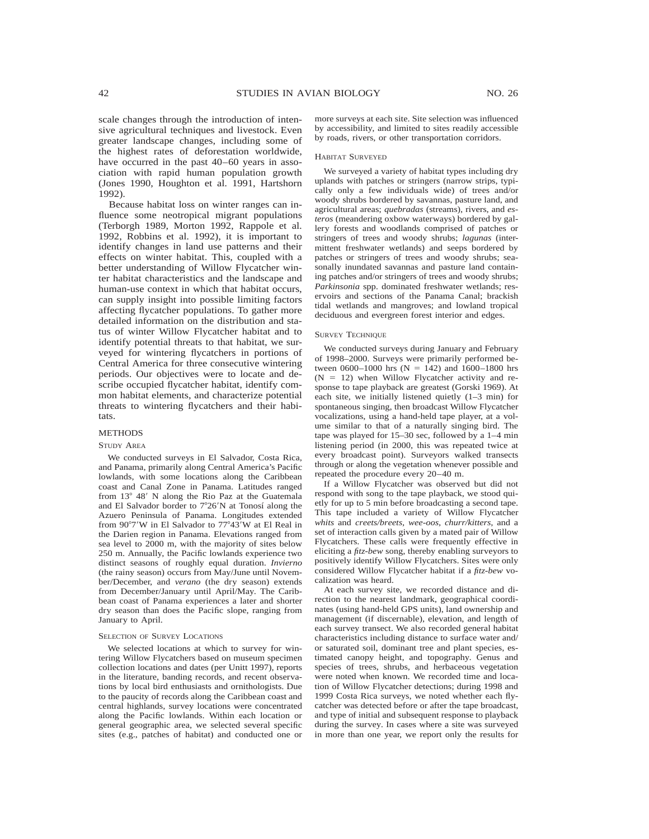scale changes through the introduction of intensive agricultural techniques and livestock. Even greater landscape changes, including some of the highest rates of deforestation worldwide, have occurred in the past  $40-60$  years in association with rapid human population growth (Jones 1990, Houghton et al. 1991, Hartshorn 1992).

Because habitat loss on winter ranges can influence some neotropical migrant populations (Terborgh 1989, Morton 1992, Rappole et al. 1992, Robbins et al. 1992), it is important to identify changes in land use patterns and their effects on winter habitat. This, coupled with a better understanding of Willow Flycatcher winter habitat characteristics and the landscape and human-use context in which that habitat occurs, can supply insight into possible limiting factors affecting flycatcher populations. To gather more detailed information on the distribution and status of winter Willow Flycatcher habitat and to identify potential threats to that habitat, we surveyed for wintering flycatchers in portions of Central America for three consecutive wintering periods. Our objectives were to locate and describe occupied flycatcher habitat, identify common habitat elements, and characterize potential threats to wintering flycatchers and their habitats.

#### METHODS

#### STUDY AREA

We conducted surveys in El Salvador, Costa Rica, and Panama, primarily along Central America's Pacific lowlands, with some locations along the Caribbean coast and Canal Zone in Panama. Latitudes ranged from 13° 48' N along the Rio Paz at the Guatemala and El Salvador border to  $7^{\circ}26'N$  at Tonosí along the Azuero Peninsula of Panama. Longitudes extended from 90°7'W in El Salvador to 77°43'W at El Real in the Darien region in Panama. Elevations ranged from sea level to 2000 m, with the majority of sites below 250 m. Annually, the Pacific lowlands experience two distinct seasons of roughly equal duration. *Invierno* (the rainy season) occurs from May/June until November/December, and *verano* (the dry season) extends from December/January until April/May. The Caribbean coast of Panama experiences a later and shorter dry season than does the Pacific slope, ranging from January to April.

#### SELECTION OF SURVEY LOCATIONS

We selected locations at which to survey for wintering Willow Flycatchers based on museum specimen collection locations and dates (per Unitt 1997), reports in the literature, banding records, and recent observations by local bird enthusiasts and ornithologists. Due to the paucity of records along the Caribbean coast and central highlands, survey locations were concentrated along the Pacific lowlands. Within each location or general geographic area, we selected several specific sites (e.g., patches of habitat) and conducted one or

more surveys at each site. Site selection was influenced by accessibility, and limited to sites readily accessible by roads, rivers, or other transportation corridors.

## HABITAT SURVEYED

We surveyed a variety of habitat types including dry uplands with patches or stringers (narrow strips, typically only a few individuals wide) of trees and/or woody shrubs bordered by savannas, pasture land, and agricultural areas; *quebradas* (streams), rivers, and *esteros* (meandering oxbow waterways) bordered by gallery forests and woodlands comprised of patches or stringers of trees and woody shrubs; *lagunas* (intermittent freshwater wetlands) and seeps bordered by patches or stringers of trees and woody shrubs; seasonally inundated savannas and pasture land containing patches and/or stringers of trees and woody shrubs; *Parkinsonia* spp. dominated freshwater wetlands; reservoirs and sections of the Panama Canal; brackish tidal wetlands and mangroves; and lowland tropical deciduous and evergreen forest interior and edges.

#### SURVEY TECHNIQUE

We conducted surveys during January and February of 1998–2000. Surveys were primarily performed between 0600–1000 hrs (N = 142) and 1600–1800 hrs  $(N = 12)$  when Willow Flycatcher activity and response to tape playback are greatest (Gorski 1969). At each site, we initially listened quietly (1–3 min) for spontaneous singing, then broadcast Willow Flycatcher vocalizations, using a hand-held tape player, at a volume similar to that of a naturally singing bird. The tape was played for 15–30 sec, followed by a 1–4 min listening period (in 2000, this was repeated twice at every broadcast point). Surveyors walked transects through or along the vegetation whenever possible and repeated the procedure every 20–40 m.

If a Willow Flycatcher was observed but did not respond with song to the tape playback, we stood quietly for up to 5 min before broadcasting a second tape. This tape included a variety of Willow Flycatcher *whits* and *creets/breets, wee-oos, churr/kitters,* and a set of interaction calls given by a mated pair of Willow Flycatchers. These calls were frequently effective in eliciting a *fitz-bew* song, thereby enabling surveyors to positively identify Willow Flycatchers. Sites were only considered Willow Flycatcher habitat if a *fitz-bew* vocalization was heard.

At each survey site, we recorded distance and direction to the nearest landmark, geographical coordinates (using hand-held GPS units), land ownership and management (if discernable), elevation, and length of each survey transect. We also recorded general habitat characteristics including distance to surface water and/ or saturated soil, dominant tree and plant species, estimated canopy height, and topography. Genus and species of trees, shrubs, and herbaceous vegetation were noted when known. We recorded time and location of Willow Flycatcher detections; during 1998 and 1999 Costa Rica surveys, we noted whether each flycatcher was detected before or after the tape broadcast, and type of initial and subsequent response to playback during the survey. In cases where a site was surveyed in more than one year, we report only the results for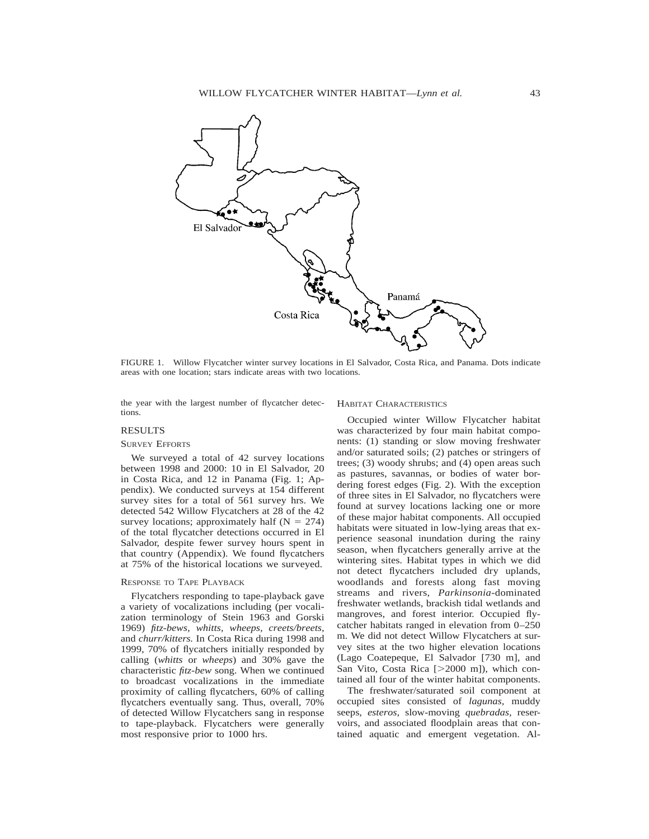

FIGURE 1. Willow Flycatcher winter survey locations in El Salvador, Costa Rica, and Panama. Dots indicate areas with one location; stars indicate areas with two locations.

the year with the largest number of flycatcher detections.

## RESULTS

#### SURVEY EFFORTS

We surveyed a total of 42 survey locations between 1998 and 2000: 10 in El Salvador, 20 in Costa Rica, and 12 in Panama (Fig. 1; Appendix). We conducted surveys at 154 different survey sites for a total of 561 survey hrs. We detected 542 Willow Flycatchers at 28 of the 42 survey locations; approximately half  $(N = 274)$ of the total flycatcher detections occurred in El Salvador, despite fewer survey hours spent in that country (Appendix). We found flycatchers at 75% of the historical locations we surveyed.

## RESPONSE TO TAPE PLAYBACK

Flycatchers responding to tape-playback gave a variety of vocalizations including (per vocalization terminology of Stein 1963 and Gorski 1969) *fitz-bews, whitts, wheeps, creets/breets,* and *churr/kitters.* In Costa Rica during 1998 and 1999, 70% of flycatchers initially responded by calling (*whitts* or *wheeps*) and 30% gave the characteristic *fitz-bew* song. When we continued to broadcast vocalizations in the immediate proximity of calling flycatchers, 60% of calling flycatchers eventually sang. Thus, overall, 70% of detected Willow Flycatchers sang in response to tape-playback. Flycatchers were generally most responsive prior to 1000 hrs.

## HABITAT CHARACTERISTICS

Occupied winter Willow Flycatcher habitat was characterized by four main habitat components: (1) standing or slow moving freshwater and/or saturated soils; (2) patches or stringers of trees; (3) woody shrubs; and (4) open areas such as pastures, savannas, or bodies of water bordering forest edges (Fig. 2). With the exception of three sites in El Salvador, no flycatchers were found at survey locations lacking one or more of these major habitat components. All occupied habitats were situated in low-lying areas that experience seasonal inundation during the rainy season, when flycatchers generally arrive at the wintering sites. Habitat types in which we did not detect flycatchers included dry uplands, woodlands and forests along fast moving streams and rivers, *Parkinsonia-*dominated freshwater wetlands, brackish tidal wetlands and mangroves, and forest interior. Occupied flycatcher habitats ranged in elevation from 0–250 m. We did not detect Willow Flycatchers at survey sites at the two higher elevation locations (Lago Coatepeque, El Salvador [730 m], and San Vito, Costa Rica  $[>2000 \text{ m}]$ ), which contained all four of the winter habitat components.

The freshwater/saturated soil component at occupied sites consisted of *lagunas,* muddy seeps, *esteros,* slow-moving *quebradas,* reservoirs, and associated floodplain areas that contained aquatic and emergent vegetation. Al-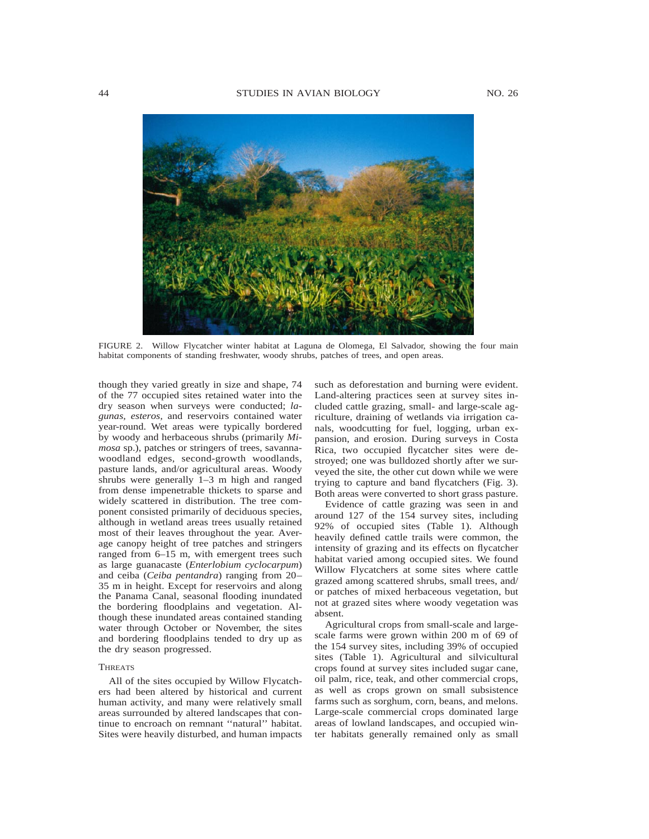

FIGURE 2. Willow Flycatcher winter habitat at Laguna de Olomega, El Salvador, showing the four main habitat components of standing freshwater, woody shrubs, patches of trees, and open areas.

though they varied greatly in size and shape, 74 of the 77 occupied sites retained water into the dry season when surveys were conducted; *lagunas, esteros,* and reservoirs contained water year-round. Wet areas were typically bordered by woody and herbaceous shrubs (primarily *Mimosa* sp.), patches or stringers of trees, savannawoodland edges, second-growth woodlands, pasture lands, and/or agricultural areas. Woody shrubs were generally 1–3 m high and ranged from dense impenetrable thickets to sparse and widely scattered in distribution. The tree component consisted primarily of deciduous species, although in wetland areas trees usually retained most of their leaves throughout the year. Average canopy height of tree patches and stringers ranged from 6–15 m, with emergent trees such as large guanacaste (*Enterlobium cyclocarpum*) and ceiba (*Ceiba pentandra*) ranging from 20– 35 m in height. Except for reservoirs and along the Panama Canal, seasonal flooding inundated the bordering floodplains and vegetation. Although these inundated areas contained standing water through October or November, the sites and bordering floodplains tended to dry up as the dry season progressed.

#### **THREATS**

All of the sites occupied by Willow Flycatchers had been altered by historical and current human activity, and many were relatively small areas surrounded by altered landscapes that continue to encroach on remnant ''natural'' habitat. Sites were heavily disturbed, and human impacts

such as deforestation and burning were evident. Land-altering practices seen at survey sites included cattle grazing, small- and large-scale agriculture, draining of wetlands via irrigation canals, woodcutting for fuel, logging, urban expansion, and erosion. During surveys in Costa Rica, two occupied flycatcher sites were destroyed; one was bulldozed shortly after we surveyed the site, the other cut down while we were trying to capture and band flycatchers (Fig. 3). Both areas were converted to short grass pasture.

Evidence of cattle grazing was seen in and around 127 of the 154 survey sites, including 92% of occupied sites (Table 1). Although heavily defined cattle trails were common, the intensity of grazing and its effects on flycatcher habitat varied among occupied sites. We found Willow Flycatchers at some sites where cattle grazed among scattered shrubs, small trees, and/ or patches of mixed herbaceous vegetation, but not at grazed sites where woody vegetation was absent.

Agricultural crops from small-scale and largescale farms were grown within 200 m of 69 of the 154 survey sites, including 39% of occupied sites (Table 1). Agricultural and silvicultural crops found at survey sites included sugar cane, oil palm, rice, teak, and other commercial crops, as well as crops grown on small subsistence farms such as sorghum, corn, beans, and melons. Large-scale commercial crops dominated large areas of lowland landscapes, and occupied winter habitats generally remained only as small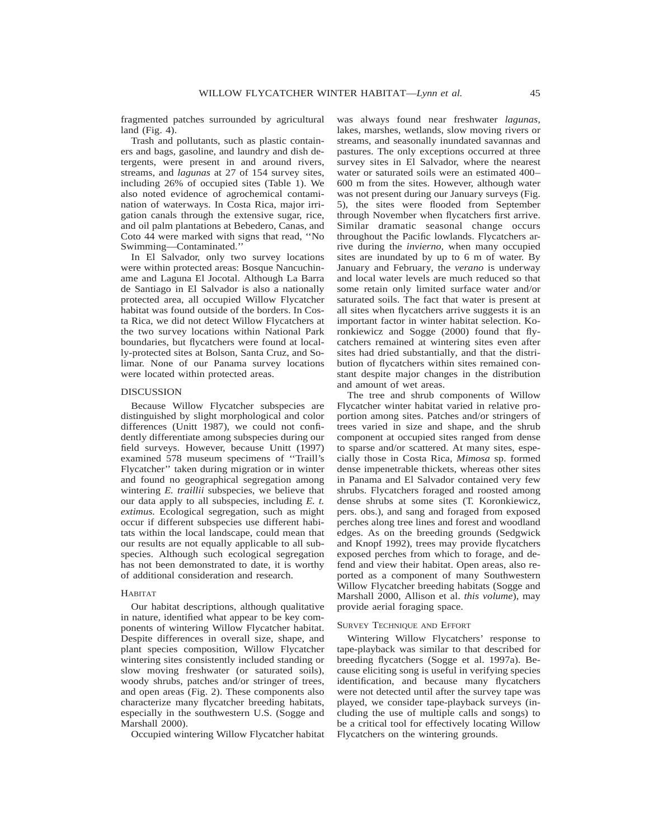fragmented patches surrounded by agricultural land  $(Fig. 4)$ .

Trash and pollutants, such as plastic containers and bags, gasoline, and laundry and dish detergents, were present in and around rivers, streams, and *lagunas* at 27 of 154 survey sites, including 26% of occupied sites (Table 1). We also noted evidence of agrochemical contamination of waterways. In Costa Rica, major irrigation canals through the extensive sugar, rice, and oil palm plantations at Bebedero, Canas, and Coto 44 were marked with signs that read, ''No Swimming—Contaminated.''

In El Salvador, only two survey locations were within protected areas: Bosque Nancuchiname and Laguna El Jocotal. Although La Barra de Santiago in El Salvador is also a nationally protected area, all occupied Willow Flycatcher habitat was found outside of the borders. In Costa Rica, we did not detect Willow Flycatchers at the two survey locations within National Park boundaries, but flycatchers were found at locally-protected sites at Bolson, Santa Cruz, and Solimar. None of our Panama survey locations were located within protected areas.

## DISCUSSION

Because Willow Flycatcher subspecies are distinguished by slight morphological and color differences (Unitt 1987), we could not confidently differentiate among subspecies during our field surveys. However, because Unitt (1997) examined 578 museum specimens of ''Traill's Flycatcher'' taken during migration or in winter and found no geographical segregation among wintering *E. traillii* subspecies, we believe that our data apply to all subspecies, including *E. t. extimus.* Ecological segregation, such as might occur if different subspecies use different habitats within the local landscape, could mean that our results are not equally applicable to all subspecies. Although such ecological segregation has not been demonstrated to date, it is worthy of additional consideration and research.

## HABITAT

Our habitat descriptions, although qualitative in nature, identified what appear to be key components of wintering Willow Flycatcher habitat. Despite differences in overall size, shape, and plant species composition, Willow Flycatcher wintering sites consistently included standing or slow moving freshwater (or saturated soils), woody shrubs, patches and/or stringer of trees, and open areas (Fig. 2). These components also characterize many flycatcher breeding habitats, especially in the southwestern U.S. (Sogge and Marshall 2000).

Occupied wintering Willow Flycatcher habitat

was always found near freshwater *lagunas,* lakes, marshes, wetlands, slow moving rivers or streams, and seasonally inundated savannas and pastures. The only exceptions occurred at three survey sites in El Salvador, where the nearest water or saturated soils were an estimated 400– 600 m from the sites. However, although water was not present during our January surveys (Fig. 5), the sites were flooded from September through November when flycatchers first arrive. Similar dramatic seasonal change occurs throughout the Pacific lowlands. Flycatchers arrive during the *invierno,* when many occupied sites are inundated by up to 6 m of water. By January and February, the *verano* is underway and local water levels are much reduced so that some retain only limited surface water and/or saturated soils. The fact that water is present at all sites when flycatchers arrive suggests it is an important factor in winter habitat selection. Koronkiewicz and Sogge (2000) found that flycatchers remained at wintering sites even after sites had dried substantially, and that the distribution of flycatchers within sites remained constant despite major changes in the distribution and amount of wet areas.

The tree and shrub components of Willow Flycatcher winter habitat varied in relative proportion among sites. Patches and/or stringers of trees varied in size and shape, and the shrub component at occupied sites ranged from dense to sparse and/or scattered. At many sites, especially those in Costa Rica, *Mimosa* sp. formed dense impenetrable thickets, whereas other sites in Panama and El Salvador contained very few shrubs. Flycatchers foraged and roosted among dense shrubs at some sites (T. Koronkiewicz, pers. obs.), and sang and foraged from exposed perches along tree lines and forest and woodland edges. As on the breeding grounds (Sedgwick and Knopf 1992), trees may provide flycatchers exposed perches from which to forage, and defend and view their habitat. Open areas, also reported as a component of many Southwestern Willow Flycatcher breeding habitats (Sogge and Marshall 2000, Allison et al. *this volume*), may provide aerial foraging space.

#### SURVEY TECHNIQUE AND EFFORT

Wintering Willow Flycatchers' response to tape-playback was similar to that described for breeding flycatchers (Sogge et al. 1997a). Because eliciting song is useful in verifying species identification, and because many flycatchers were not detected until after the survey tape was played, we consider tape-playback surveys (including the use of multiple calls and songs) to be a critical tool for effectively locating Willow Flycatchers on the wintering grounds.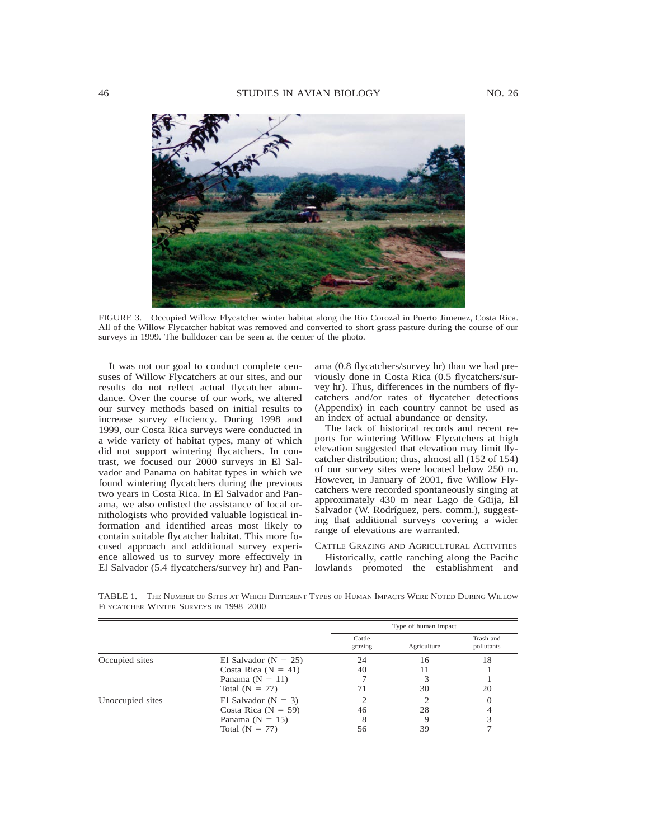

FIGURE 3. Occupied Willow Flycatcher winter habitat along the Rio Corozal in Puerto Jimenez, Costa Rica. All of the Willow Flycatcher habitat was removed and converted to short grass pasture during the course of our surveys in 1999. The bulldozer can be seen at the center of the photo.

It was not our goal to conduct complete censuses of Willow Flycatchers at our sites, and our results do not reflect actual flycatcher abundance. Over the course of our work, we altered our survey methods based on initial results to increase survey efficiency. During 1998 and 1999, our Costa Rica surveys were conducted in a wide variety of habitat types, many of which did not support wintering flycatchers. In contrast, we focused our 2000 surveys in El Salvador and Panama on habitat types in which we found wintering flycatchers during the previous two years in Costa Rica. In El Salvador and Panama, we also enlisted the assistance of local ornithologists who provided valuable logistical information and identified areas most likely to contain suitable flycatcher habitat. This more focused approach and additional survey experience allowed us to survey more effectively in El Salvador (5.4 flycatchers/survey hr) and Pan-

FLYCATCHER WINTER SURVEYS IN 1998–2000

ama (0.8 flycatchers/survey hr) than we had previously done in Costa Rica (0.5 flycatchers/survey hr). Thus, differences in the numbers of flycatchers and/or rates of flycatcher detections (Appendix) in each country cannot be used as an index of actual abundance or density.

The lack of historical records and recent reports for wintering Willow Flycatchers at high elevation suggested that elevation may limit flycatcher distribution; thus, almost all (152 of 154) of our survey sites were located below 250 m. However, in January of 2001, five Willow Flycatchers were recorded spontaneously singing at approximately 430 m near Lago de Güija, El Salvador (W. Rodríguez, pers. comm.), suggesting that additional surveys covering a wider range of elevations are warranted.

CATTLE GRAZING AND AGRICULTURAL ACTIVITIES Historically, cattle ranching along the Pacific lowlands promoted the establishment and

Type of human impact Cattle grazing **Agriculture** Trash and pollutants Occupied sites El Salvador ( $N = 25$ ) 24 16 18

TABLE 1. THE NUMBER OF SITES AT WHICH DIFFERENT TYPES OF HUMAN IMPACTS WERE NOTED DURING WILLOW

|                  |                          | grazing | Agriculture | pollutants |
|------------------|--------------------------|---------|-------------|------------|
| Occupied sites   | El Salvador ( $N = 25$ ) | 24      | 16          | 18         |
|                  | Costa Rica $(N = 41)$    | 40      |             |            |
|                  | Panama $(N = 11)$        |         |             |            |
|                  | Total $(N = 77)$         |         | 30          | 20         |
| Unoccupied sites | El Salvador ( $N = 3$ )  |         |             |            |
|                  | Costa Rica ( $N = 59$ )  | 46      | 28          |            |
|                  | Panama $(N = 15)$        |         |             |            |
|                  | Total $(N = 77)$         | 56      | 39          |            |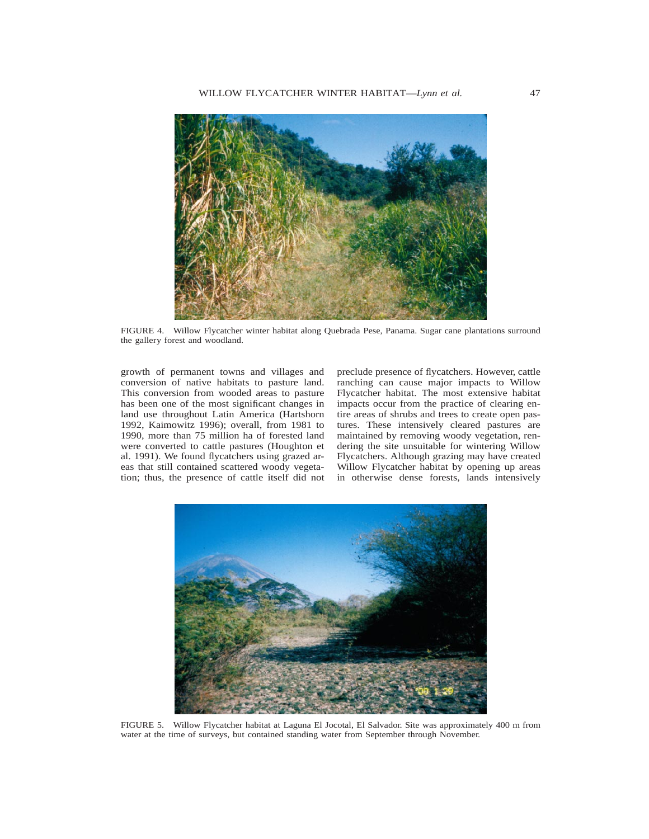

FIGURE 4. Willow Flycatcher winter habitat along Quebrada Pese, Panama. Sugar cane plantations surround the gallery forest and woodland.

growth of permanent towns and villages and conversion of native habitats to pasture land. This conversion from wooded areas to pasture has been one of the most significant changes in land use throughout Latin America (Hartshorn 1992, Kaimowitz 1996); overall, from 1981 to 1990, more than 75 million ha of forested land were converted to cattle pastures (Houghton et al. 1991). We found flycatchers using grazed areas that still contained scattered woody vegetation; thus, the presence of cattle itself did not

preclude presence of flycatchers. However, cattle ranching can cause major impacts to Willow Flycatcher habitat. The most extensive habitat impacts occur from the practice of clearing entire areas of shrubs and trees to create open pastures. These intensively cleared pastures are maintained by removing woody vegetation, rendering the site unsuitable for wintering Willow Flycatchers. Although grazing may have created Willow Flycatcher habitat by opening up areas in otherwise dense forests, lands intensively



FIGURE 5. Willow Flycatcher habitat at Laguna El Jocotal, El Salvador. Site was approximately 400 m from water at the time of surveys, but contained standing water from September through November.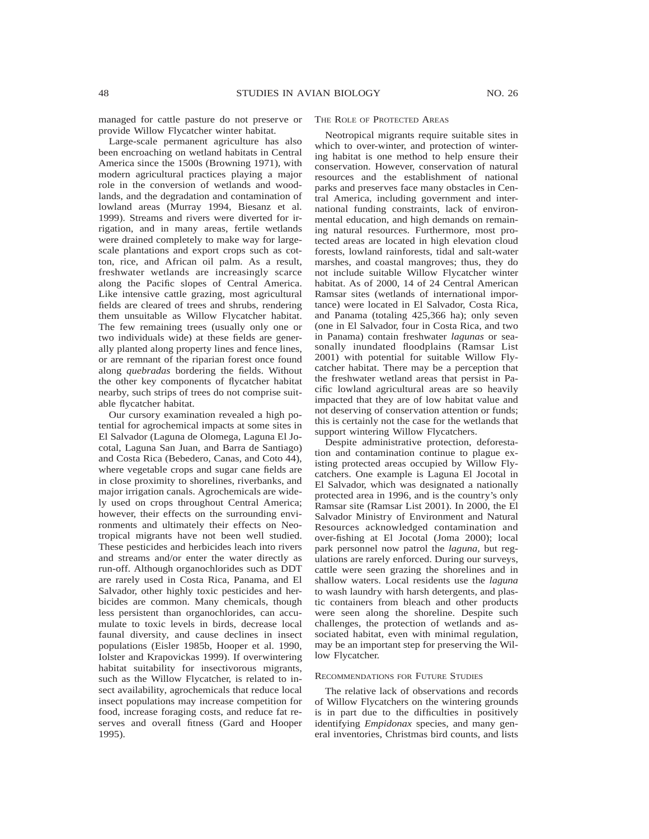managed for cattle pasture do not preserve or provide Willow Flycatcher winter habitat.

Large-scale permanent agriculture has also been encroaching on wetland habitats in Central America since the 1500s (Browning 1971), with modern agricultural practices playing a major role in the conversion of wetlands and woodlands, and the degradation and contamination of lowland areas (Murray 1994, Biesanz et al. 1999). Streams and rivers were diverted for irrigation, and in many areas, fertile wetlands were drained completely to make way for largescale plantations and export crops such as cotton, rice, and African oil palm. As a result, freshwater wetlands are increasingly scarce along the Pacific slopes of Central America. Like intensive cattle grazing, most agricultural fields are cleared of trees and shrubs, rendering them unsuitable as Willow Flycatcher habitat. The few remaining trees (usually only one or two individuals wide) at these fields are generally planted along property lines and fence lines, or are remnant of the riparian forest once found along *quebradas* bordering the fields. Without the other key components of flycatcher habitat nearby, such strips of trees do not comprise suitable flycatcher habitat.

Our cursory examination revealed a high potential for agrochemical impacts at some sites in El Salvador (Laguna de Olomega, Laguna El Jocotal, Laguna San Juan, and Barra de Santiago) and Costa Rica (Bebedero, Canas, and Coto 44), where vegetable crops and sugar cane fields are in close proximity to shorelines, riverbanks, and major irrigation canals. Agrochemicals are widely used on crops throughout Central America; however, their effects on the surrounding environments and ultimately their effects on Neotropical migrants have not been well studied. These pesticides and herbicides leach into rivers and streams and/or enter the water directly as run-off. Although organochlorides such as DDT are rarely used in Costa Rica, Panama, and El Salvador, other highly toxic pesticides and herbicides are common. Many chemicals, though less persistent than organochlorides, can accumulate to toxic levels in birds, decrease local faunal diversity, and cause declines in insect populations (Eisler 1985b, Hooper et al. 1990, Iolster and Krapovickas 1999). If overwintering habitat suitability for insectivorous migrants, such as the Willow Flycatcher, is related to insect availability, agrochemicals that reduce local insect populations may increase competition for food, increase foraging costs, and reduce fat reserves and overall fitness (Gard and Hooper 1995).

## THE ROLE OF PROTECTED AREAS

Neotropical migrants require suitable sites in which to over-winter, and protection of wintering habitat is one method to help ensure their conservation. However, conservation of natural resources and the establishment of national parks and preserves face many obstacles in Central America, including government and international funding constraints, lack of environmental education, and high demands on remaining natural resources. Furthermore, most protected areas are located in high elevation cloud forests, lowland rainforests, tidal and salt-water marshes, and coastal mangroves; thus, they do not include suitable Willow Flycatcher winter habitat. As of 2000, 14 of 24 Central American Ramsar sites (wetlands of international importance) were located in El Salvador, Costa Rica, and Panama (totaling 425,366 ha); only seven (one in El Salvador, four in Costa Rica, and two in Panama) contain freshwater *lagunas* or seasonally inundated floodplains (Ramsar List 2001) with potential for suitable Willow Flycatcher habitat. There may be a perception that the freshwater wetland areas that persist in Pacific lowland agricultural areas are so heavily impacted that they are of low habitat value and not deserving of conservation attention or funds; this is certainly not the case for the wetlands that support wintering Willow Flycatchers.

Despite administrative protection, deforestation and contamination continue to plague existing protected areas occupied by Willow Flycatchers. One example is Laguna El Jocotal in El Salvador, which was designated a nationally protected area in 1996, and is the country's only Ramsar site (Ramsar List 2001). In 2000, the El Salvador Ministry of Environment and Natural Resources acknowledged contamination and over-fishing at El Jocotal (Joma 2000); local park personnel now patrol the *laguna,* but regulations are rarely enforced. During our surveys, cattle were seen grazing the shorelines and in shallow waters. Local residents use the *laguna* to wash laundry with harsh detergents, and plastic containers from bleach and other products were seen along the shoreline. Despite such challenges, the protection of wetlands and associated habitat, even with minimal regulation, may be an important step for preserving the Willow Flycatcher.

## RECOMMENDATIONS FOR FUTURE STUDIES

The relative lack of observations and records of Willow Flycatchers on the wintering grounds is in part due to the difficulties in positively identifying *Empidonax* species, and many general inventories, Christmas bird counts, and lists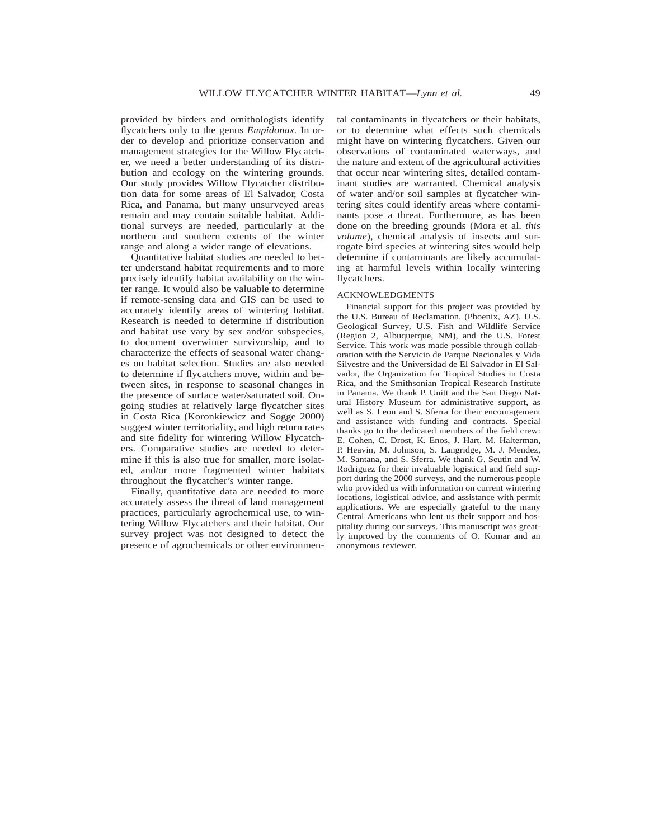provided by birders and ornithologists identify flycatchers only to the genus *Empidonax.* In order to develop and prioritize conservation and management strategies for the Willow Flycatcher, we need a better understanding of its distribution and ecology on the wintering grounds. Our study provides Willow Flycatcher distribution data for some areas of El Salvador, Costa Rica, and Panama, but many unsurveyed areas remain and may contain suitable habitat. Additional surveys are needed, particularly at the northern and southern extents of the winter range and along a wider range of elevations.

Quantitative habitat studies are needed to better understand habitat requirements and to more precisely identify habitat availability on the winter range. It would also be valuable to determine if remote-sensing data and GIS can be used to accurately identify areas of wintering habitat. Research is needed to determine if distribution and habitat use vary by sex and/or subspecies, to document overwinter survivorship, and to characterize the effects of seasonal water changes on habitat selection. Studies are also needed to determine if flycatchers move, within and between sites, in response to seasonal changes in the presence of surface water/saturated soil. Ongoing studies at relatively large flycatcher sites in Costa Rica (Koronkiewicz and Sogge 2000) suggest winter territoriality, and high return rates and site fidelity for wintering Willow Flycatchers. Comparative studies are needed to determine if this is also true for smaller, more isolated, and/or more fragmented winter habitats throughout the flycatcher's winter range.

Finally, quantitative data are needed to more accurately assess the threat of land management practices, particularly agrochemical use, to wintering Willow Flycatchers and their habitat. Our survey project was not designed to detect the presence of agrochemicals or other environmental contaminants in flycatchers or their habitats, or to determine what effects such chemicals might have on wintering flycatchers. Given our observations of contaminated waterways, and the nature and extent of the agricultural activities that occur near wintering sites, detailed contaminant studies are warranted. Chemical analysis of water and/or soil samples at flycatcher wintering sites could identify areas where contaminants pose a threat. Furthermore, as has been done on the breeding grounds (Mora et al. *this volume*), chemical analysis of insects and surrogate bird species at wintering sites would help determine if contaminants are likely accumulating at harmful levels within locally wintering flycatchers.

#### ACKNOWLEDGMENTS

Financial support for this project was provided by the U.S. Bureau of Reclamation, (Phoenix, AZ), U.S. Geological Survey, U.S. Fish and Wildlife Service (Region 2, Albuquerque, NM), and the U.S. Forest Service. This work was made possible through collaboration with the Servicio de Parque Nacionales y Vida Silvestre and the Universidad de El Salvador in El Salvador, the Organization for Tropical Studies in Costa Rica, and the Smithsonian Tropical Research Institute in Panama. We thank P. Unitt and the San Diego Natural History Museum for administrative support, as well as S. Leon and S. Sferra for their encouragement and assistance with funding and contracts. Special thanks go to the dedicated members of the field crew: E. Cohen, C. Drost, K. Enos, J. Hart, M. Halterman, P. Heavin, M. Johnson, S. Langridge, M. J. Mendez, M. Santana, and S. Sferra. We thank G. Seutin and W. Rodriguez for their invaluable logistical and field support during the 2000 surveys, and the numerous people who provided us with information on current wintering locations, logistical advice, and assistance with permit applications. We are especially grateful to the many Central Americans who lent us their support and hospitality during our surveys. This manuscript was greatly improved by the comments of O. Komar and an anonymous reviewer.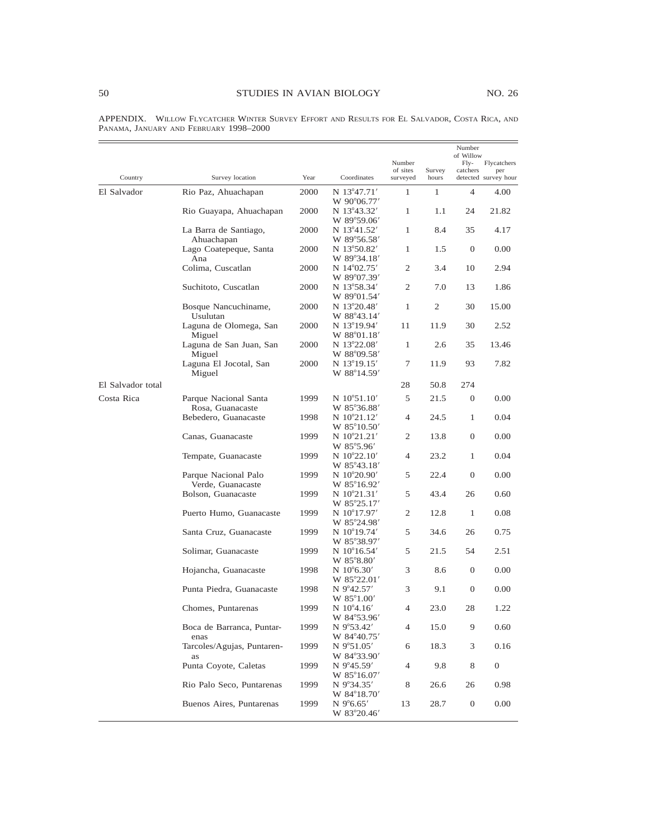| Country           | Survey location                                 | Year         | Coordinates                                      | Number<br>of sites<br>surveyed | Survey<br>hours | Number<br>of Willow<br>Fly-<br>catchers | Flycatchers<br>per<br>detected survey hour |
|-------------------|-------------------------------------------------|--------------|--------------------------------------------------|--------------------------------|-----------------|-----------------------------------------|--------------------------------------------|
|                   |                                                 |              |                                                  |                                |                 | $\overline{4}$                          |                                            |
| El Salvador       | Rio Paz, Ahuachapan                             | 2000         | N 13°47.71'<br>W 90°06.77'                       | 1                              | 1               |                                         | 4.00                                       |
|                   | Rio Guayapa, Ahuachapan                         | 2000         | N 13°43.32'<br>W 89°59.06'                       | $\mathbf{1}$                   | 1.1             | 24                                      | 21.82                                      |
|                   | La Barra de Santiago,<br>Ahuachapan             | 2000         | N 13°41.52'<br>W 89°56.58′                       | $\mathbf{1}$                   | 8.4             | 35                                      | 4.17                                       |
|                   | Lago Coatepeque, Santa<br>Ana                   | 2000         | N 13°50.82'<br>W 89°34.18'                       | $\mathbf{1}$                   | 1.5             | $\mathbf{0}$                            | 0.00                                       |
|                   | Colima, Cuscatlan                               | 2000         | N 14°02.75'<br>W 89°07.39'                       | 2                              | 3.4             | 10                                      | 2.94                                       |
|                   | Suchitoto, Cuscatlan                            | 2000         | N 13°58.34'<br>W 89°01.54'                       | 2                              | 7.0             | 13                                      | 1.86                                       |
|                   | Bosque Nancuchiname,<br>Usulutan                | 2000         | N 13°20.48'<br>W 88°43.14'                       | 1                              | 2               | 30                                      | 15.00                                      |
|                   | Laguna de Olomega, San<br>Miguel                | 2000         | N 13°19.94'<br>W 88°01.18'                       | 11                             | 11.9            | 30                                      | 2.52                                       |
|                   | Laguna de San Juan, San<br>Miguel               | 2000         | N 13°22.08'<br>W 88°09.58'                       | $\mathbf{1}$                   | 2.6             | 35                                      | 13.46                                      |
|                   | Laguna El Jocotal, San<br>Miguel                | 2000         | N 13°19.15'<br>W 88°14.59'                       | 7                              | 11.9            | 93                                      | 7.82                                       |
| El Salvador total |                                                 |              |                                                  | 28                             | 50.8            | 274                                     |                                            |
| Costa Rica        | Parque Nacional Santa<br>Rosa, Guanacaste       | 1999         | $N 10^{\circ}51.10'$<br>W 85°36.88'              | 5                              | 21.5            | $\mathbf{0}$                            | 0.00                                       |
|                   | Bebedero, Guanacaste                            | 1998         | $N 10^{\circ}21.12'$<br>W 85°10.50'              | $\overline{4}$                 | 24.5            | $\mathbf{1}$                            | 0.04                                       |
|                   | Canas, Guanacaste                               | 1999         | N 10°21.21'<br>W 85°5.96'                        | 2                              | 13.8            | $\mathbf{0}$                            | 0.00                                       |
|                   | Tempate, Guanacaste                             | 1999         | $N 10^{\circ}22.10'$<br>W 85°43.18'              | $\overline{4}$                 | 23.2            | 1                                       | 0.04                                       |
|                   | Parque Nacional Palo<br>Verde, Guanacaste       | 1999         | N $10^{\circ}20.90'$<br>W 85°16.92'              | 5                              | 22.4            | $\mathbf{0}$                            | 0.00                                       |
|                   | Bolson, Guanacaste                              | 1999         | $N 10^{\circ}21.31'$<br>W 85°25.17'              | 5                              | 43.4            | 26                                      | 0.60                                       |
|                   | Puerto Humo, Guanacaste                         | 1999         | N $10^{\circ}17.97'$<br>W 85°24.98'              | 2                              | 12.8            | $\mathbf{1}$                            | 0.08                                       |
|                   | Santa Cruz, Guanacaste                          | 1999         | N $10^{\circ}19.74'$<br>W 85°38.97'              | 5                              | 34.6            | 26                                      | 0.75                                       |
|                   | Solimar, Guanacaste                             | 1999         | N $10^{\circ}16.54'$<br>W 85°8.80'               | 5                              | 21.5            | 54                                      | 2.51                                       |
|                   | Hojancha, Guanacaste                            | 1998         | N $10^{\circ}6.30'$<br>W 85°22.01'               | 3                              | 8.6             | $\mathbf{0}$                            | 0.00                                       |
|                   | Punta Piedra, Guanacaste                        | 1998         | N 9°42.57'<br>W 85°1.00'                         | 3<br>4                         | 9.1             | $\mathbf{0}$<br>28                      | 0.00<br>1.22                               |
|                   | Chomes, Puntarenas<br>Boca de Barranca, Puntar- | 1999<br>1999 | N $10^{\circ}4.16'$<br>W 84°53.96'<br>N 9°53.42' | 4                              | 23.0<br>15.0    | 9                                       | 0.60                                       |
|                   | enas<br>Tarcoles/Agujas, Puntaren-              | 1999         | W 84°40.75'<br>N 9°51.05'                        | 6                              | 18.3            | 3                                       | 0.16                                       |
|                   | as<br>Punta Coyote, Caletas                     | 1999         | W 84°33.90'<br>N $9^{\circ}45.59'$               | 4                              | 9.8             | 8                                       | $\overline{0}$                             |
|                   | Rio Palo Seco, Puntarenas                       | 1999         | W 85°16.07'<br>N 9°34.35'                        | 8                              | 26.6            | 26                                      | 0.98                                       |
|                   | Buenos Aires, Puntarenas                        | 1999         | W 84°18.70'<br>$N$ 9°6.65'                       | 13                             | 28.7            | $\boldsymbol{0}$                        | 0.00                                       |
|                   |                                                 |              | W 83°20.46'                                      |                                |                 |                                         |                                            |

APPENDIX. WILLOW FLYCATCHER WINTER SURVEY EFFORT AND RESULTS FOR EL SALVADOR, COSTA RICA, AND PANAMA, JANUARY AND FEBRUARY 1998–2000